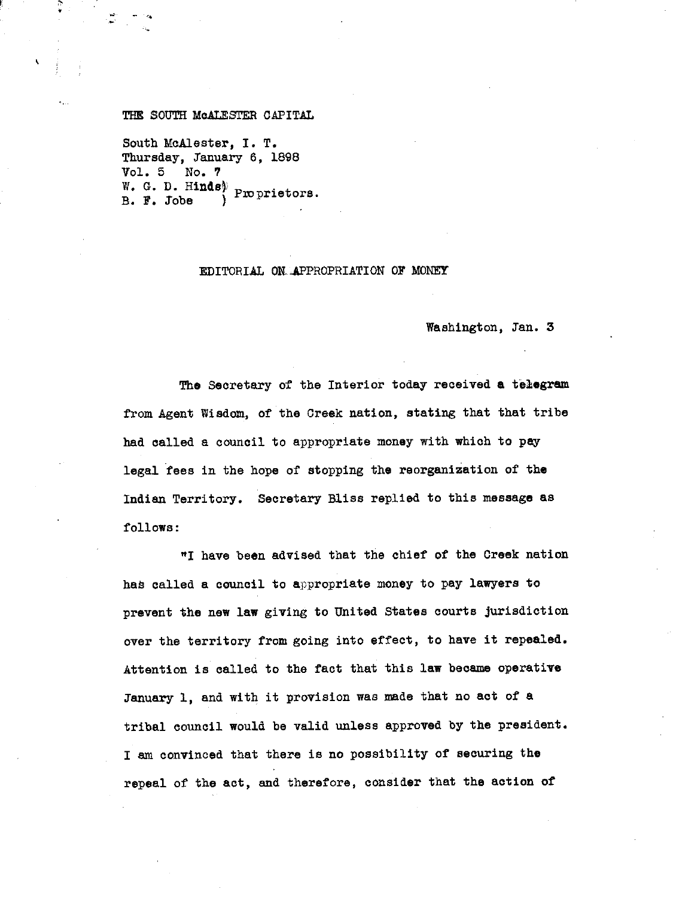## THE SOUTH MCALESTER CAPITAL

South McAlester, I. T. Thursday, January 6, 1898 Vol. 5 No. 7 W. G. D. Hinds) Proprietors.<br>B. F. Jobe

## EDITORIAL ON-APPROPRIATION CF MONEY

Washington, Jan. 3

The Secretary of the Interior today received a telegram from Agent Wisdom, of the Creek nation, stating that that tribe had called a council to appropriate money with which to pay legal fees in the hope of stopping the reorganization of the Indian Territory. Secretary Bliss replied to this message as follows:

"I have been advised that the chief of the Creek nation has called a council to appropriate money to pay lawyers to prevent the new law giving to United States courts jurisdiction over the territory from going into effect, to have it repealed. Attention is called to the fact that this law became operative January 1, and with it provision was made that no act of a tribal council would be valid unless approved by the president. I am convinced that there is no possibility of securing the repeal of the act, and therefore, consider that the action of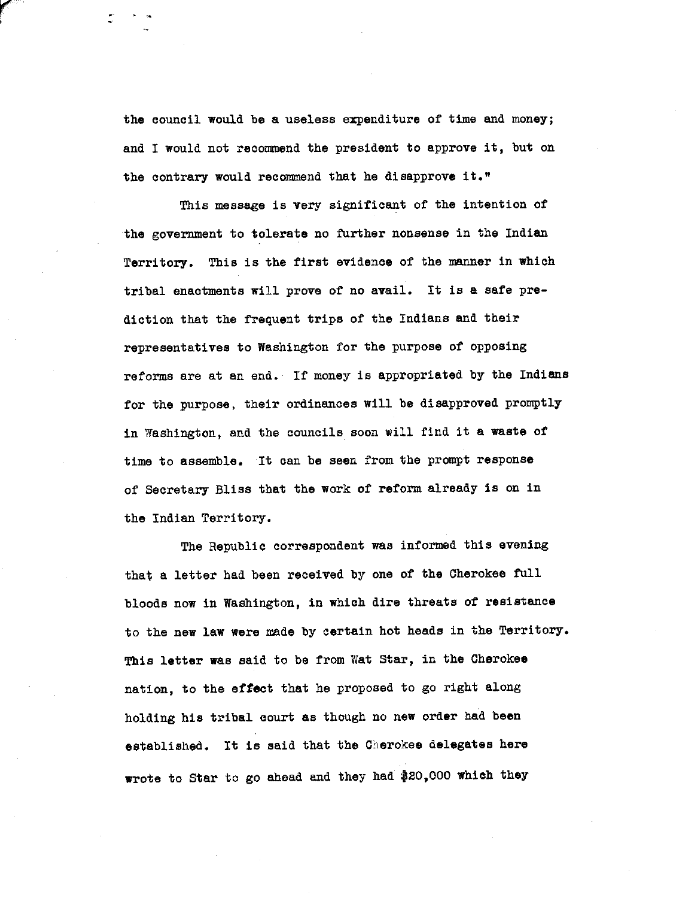the council would be a useless expenditure of time and money; and I would not recommend the president to approve it, but on the contrary would recommend that he disapprove it."

This message is very significant of the intention of the government to tolerate no further nonsense in the Indian Territory. This is the first evidence of the manner in which tribal enactments will prove of no avail. It is a safe prediction that the frequent trips of the Indians and their representatives to Washington for the purpose of opposing reforms are at an end. If money is appropriated by the Indians for the purpose, their ordinances will be disapproved promptly in Washington, and the councils soon will find it a waste of time to assemble. It can be seen from the prompt response of Secretary Bliss that the work of reform already is on in the Indian Territory.

The Republic correspondent was informed this evening that a letter had been received by one of the Cherokee full bloods now in Washington, in which dire threats of resistance to the new law were made by certain hot heads in the Territory. This letter was said to be from Wat Star, in the Cherokee nation, to the effect that he proposed to go right along holding his tribal court as though no new order had been established. It is said that the Cherokee delegates here wrote to Star to go ahead and they had \$20,000 which they